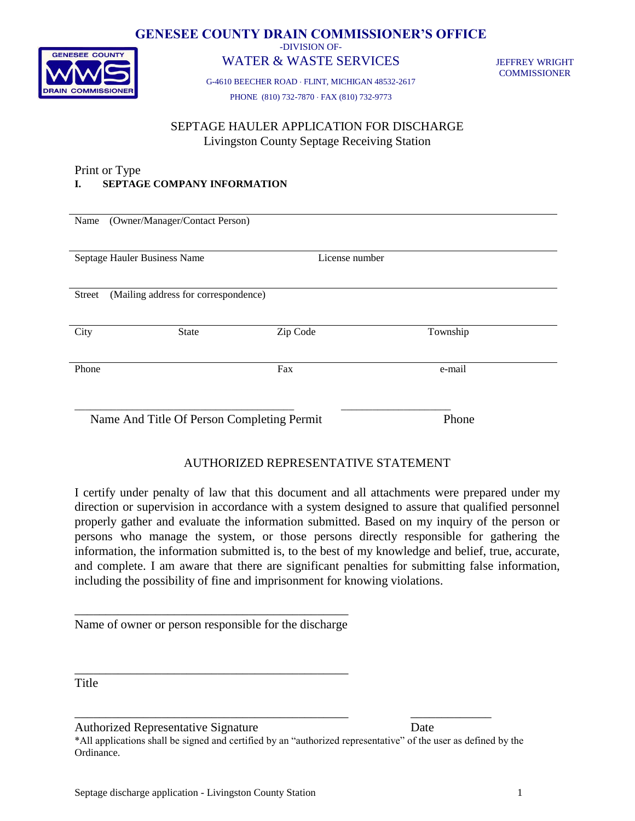

# **GENESEE COUNTY DRAIN COMMISSIONER'S OFFICE**

-DIVISION OF-

# WATER & WASTE SERVICES

JEFFREY WRIGHT **COMMISSIONER** 

G-4610 BEECHER ROAD FLINT, MICHIGAN 48532-2617 PHONE (810) 732-7870 FAX (810) 732-9773

# SEPTAGE HAULER APPLICATION FOR DISCHARGE Livingston County Septage Receiving Station

#### Print or Type **I. SEPTAGE COMPANY INFORMATION**

| Name          | (Owner/Manager/Contact Person)             |                |          |
|---------------|--------------------------------------------|----------------|----------|
|               | Septage Hauler Business Name               | License number |          |
| <b>Street</b> | (Mailing address for correspondence)       |                |          |
| City          | <b>State</b>                               | Zip Code       | Township |
| Phone         |                                            | Fax            | e-mail   |
|               | Name And Title Of Person Completing Permit |                | Phone    |

# AUTHORIZED REPRESENTATIVE STATEMENT

I certify under penalty of law that this document and all attachments were prepared under my direction or supervision in accordance with a system designed to assure that qualified personnel properly gather and evaluate the information submitted. Based on my inquiry of the person or persons who manage the system, or those persons directly responsible for gathering the information, the information submitted is, to the best of my knowledge and belief, true, accurate, and complete. I am aware that there are significant penalties for submitting false information, including the possibility of fine and imprisonment for knowing violations.

\_\_\_\_\_\_\_\_\_\_\_\_\_\_\_\_\_\_\_\_\_\_\_\_\_\_\_\_\_\_\_\_\_\_\_\_\_\_\_\_\_\_\_\_ Name of owner or person responsible for the discharge

\_\_\_\_\_\_\_\_\_\_\_\_\_\_\_\_\_\_\_\_\_\_\_\_\_\_\_\_\_\_\_\_\_\_\_\_\_\_\_\_\_\_\_\_

Title

Authorized Representative Signature Date

\*All applications shall be signed and certified by an "authorized representative" of the user as defined by the Ordinance.

\_\_\_\_\_\_\_\_\_\_\_\_\_\_\_\_\_\_\_\_\_\_\_\_\_\_\_\_\_\_\_\_\_\_\_\_\_\_\_\_\_\_\_\_ \_\_\_\_\_\_\_\_\_\_\_\_\_